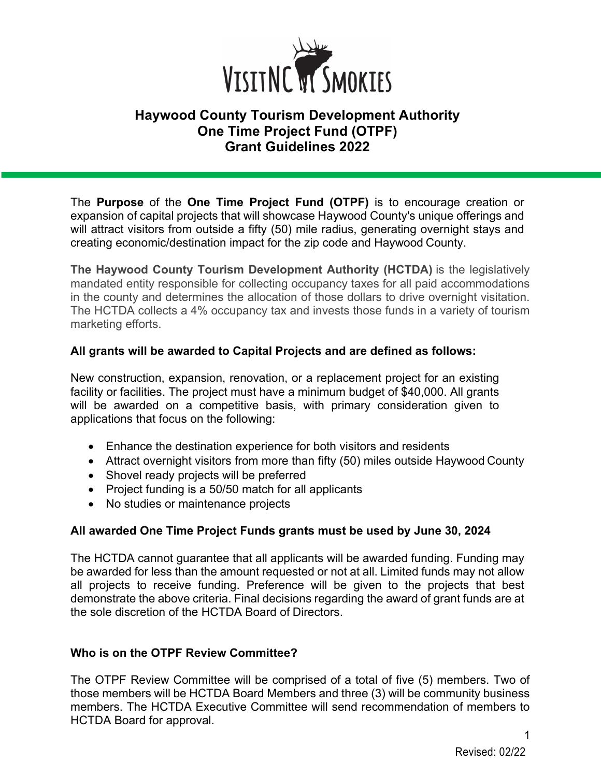

# **Haywood County Tourism Development Authority One Time Project Fund (OTPF) Grant Guidelines 2022**

The **Purpose** of the **One Time Project Fund (OTPF)** is to encourage creation or expansion of capital projects that will showcase Haywood County's unique offerings and will attract visitors from outside a fifty (50) mile radius, generating overnight stays and creating economic/destination impact for the zip code and Haywood County.

**The Haywood County Tourism Development Authority (HCTDA)** is the legislatively mandated entity responsible for collecting occupancy taxes for all paid accommodations in the county and determines the allocation of those dollars to drive overnight visitation. The HCTDA collects a 4% occupancy tax and invests those funds in a variety of tourism marketing efforts.

### **All grants will be awarded to Capital Projects and are defined as follows:**

New construction, expansion, renovation, or a replacement project for an existing facility or facilities. The project must have a minimum budget of \$40,000. All grants will be awarded on a competitive basis, with primary consideration given to applications that focus on the following:

- Enhance the destination experience for both visitors and residents
- Attract overnight visitors from more than fifty (50) miles outside Haywood County
- Shovel ready projects will be preferred
- Project funding is a 50/50 match for all applicants
- No studies or maintenance projects

# **All awarded One Time Project Funds grants must be used by June 30, 2024**

The HCTDA cannot guarantee that all applicants will be awarded funding. Funding may be awarded for less than the amount requested or not at all. Limited funds may not allow all projects to receive funding. Preference will be given to the projects that best demonstrate the above criteria. Final decisions regarding the award of grant funds are at the sole discretion of the HCTDA Board of Directors.

### **Who is on the OTPF Review Committee?**

The OTPF Review Committee will be comprised of a total of five (5) members. Two of those members will be HCTDA Board Members and three (3) will be community business members. The HCTDA Executive Committee will send recommendation of members to HCTDA Board for approval.

1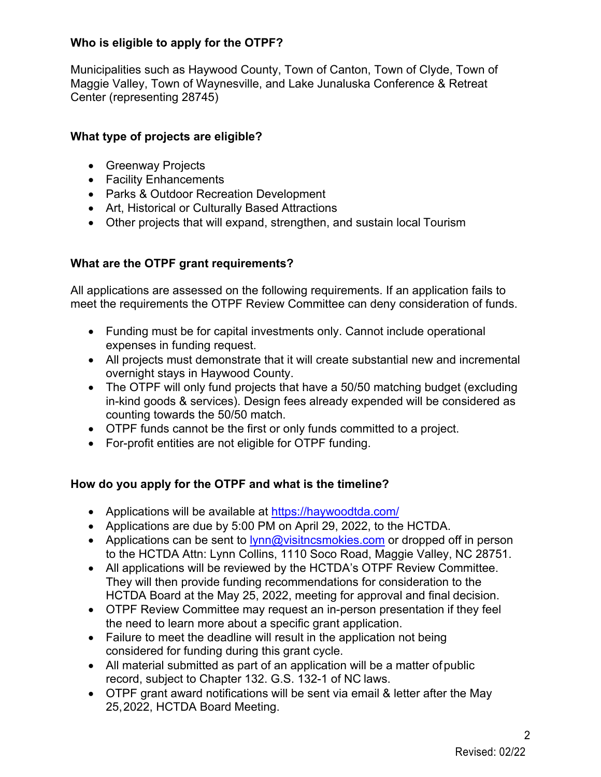### **Who is eligible to apply for the OTPF?**

Municipalities such as Haywood County, Town of Canton, Town of Clyde, Town of Maggie Valley, Town of Waynesville, and Lake Junaluska Conference & Retreat Center (representing 28745)

### **What type of projects are eligible?**

- Greenway Projects
- Facility Enhancements
- Parks & Outdoor Recreation Development
- Art, Historical or Culturally Based Attractions
- Other projects that will expand, strengthen, and sustain local Tourism

# **What are the OTPF grant requirements?**

All applications are assessed on the following requirements. If an application fails to meet the requirements the OTPF Review Committee can deny consideration of funds.

- Funding must be for capital investments only. Cannot include operational expenses in funding request.
- All projects must demonstrate that it will create substantial new and incremental overnight stays in Haywood County.
- The OTPF will only fund projects that have a 50/50 matching budget (excluding in-kind goods & services). Design fees already expended will be considered as counting towards the 50/50 match.
- OTPF funds cannot be the first or only funds committed to a project.
- For-profit entities are not eligible for OTPF funding.

# **How do you apply for the OTPF and what is the timeline?**

- Applications will be available at https://haywoodtda.com/
- Applications are due by 5:00 PM on April 29, 2022, to the HCTDA.
- Applications can be sent to  $\frac{1}{\sqrt{m}}$  visitncsmokies.com or dropped off in person to the HCTDA Attn: Lynn Collins, 1110 Soco Road, Maggie Valley, NC 28751.
- All applications will be reviewed by the HCTDA's OTPF Review Committee. They will then provide funding recommendations for consideration to the HCTDA Board at the May 25, 2022, meeting for approval and final decision.
- OTPF Review Committee may request an in-person presentation if they feel the need to learn more about a specific grant application.
- Failure to meet the deadline will result in the application not being considered for funding during this grant cycle.
- All material submitted as part of an application will be a matter ofpublic record, subject to Chapter 132. G.S. 132-1 of NC laws.
- OTPF grant award notifications will be sent via email & letter after the May 25,2022, HCTDA Board Meeting.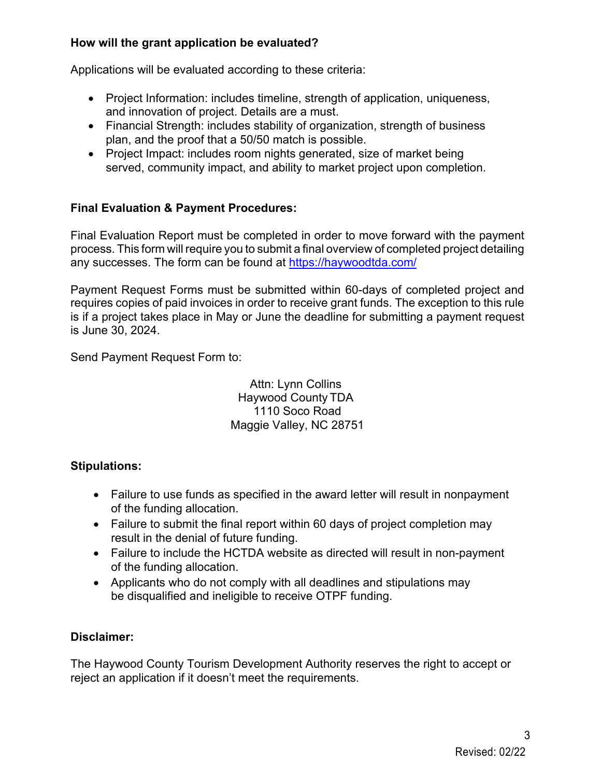### **How will the grant application be evaluated?**

Applications will be evaluated according to these criteria:

- Project Information: includes timeline, strength of application, uniqueness, and innovation of project. Details are a must.
- Financial Strength: includes stability of organization, strength of business plan, and the proof that a 50/50 match is possible.
- Project Impact: includes room nights generated, size of market being served, community impact, and ability to market project upon completion.

### **Final Evaluation & Payment Procedures:**

Final Evaluation Report must be completed in order to move forward with the payment process. This form will require you to submit a final overview of completed project detailing any successes. The form can be found at https://haywoodtda.com/

Payment Request Forms must be submitted within 60-days of completed project and requires copies of paid invoices in order to receive grant funds. The exception to this rule is if a project takes place in May or June the deadline for submitting a payment request is June 30, 2024.

Send Payment Request Form to:

Attn: Lynn Collins Haywood County TDA 1110 Soco Road Maggie Valley, NC 28751

### **Stipulations:**

- Failure to use funds as specified in the award letter will result in nonpayment of the funding allocation.
- Failure to submit the final report within 60 days of project completion may result in the denial of future funding.
- Failure to include the HCTDA website as directed will result in non-payment of the funding allocation.
- Applicants who do not comply with all deadlines and stipulations may be disqualified and ineligible to receive OTPF funding.

### **Disclaimer:**

The Haywood County Tourism Development Authority reserves the right to accept or reject an application if it doesn't meet the requirements.